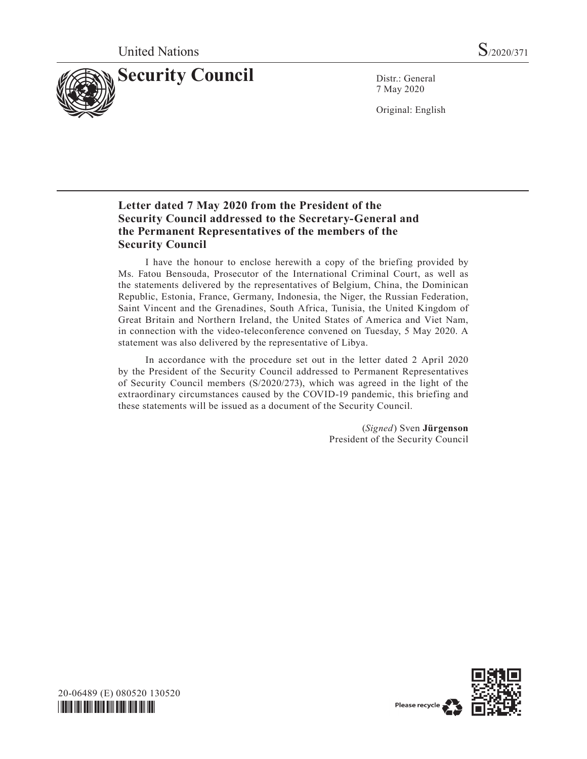

7 May 2020

Original: English

# **Letter dated 7 May 2020 from the President of the Security Council addressed to the Secretary-General and the Permanent Representatives of the members of the Security Council**

I have the honour to enclose herewith a copy of the briefing provided by Ms. Fatou Bensouda, Prosecutor of the International Criminal Court, as well as the statements delivered by the representatives of Belgium, China, the Dominican Republic, Estonia, France, Germany, Indonesia, the Niger, the Russian Federation, Saint Vincent and the Grenadines, South Africa, Tunisia, the United Kingdom of Great Britain and Northern Ireland, the United States of America and Viet Nam, in connection with the video-teleconference convened on Tuesday, 5 May 2020. A statement was also delivered by the representative of Libya.

In accordance with the procedure set out in the letter dated 2 April 2020 by the President of the Security Council addressed to Permanent Representatives of Security Council members (S/2020/273), which was agreed in the light of the extraordinary circumstances caused by the COVID-19 pandemic, this briefing and these statements will be issued as a document of the Security Council.

> (*Signed*) Sven **Jürgenson** President of the Security Council



20-06489 (E) 080520 130520 *\*2006489\**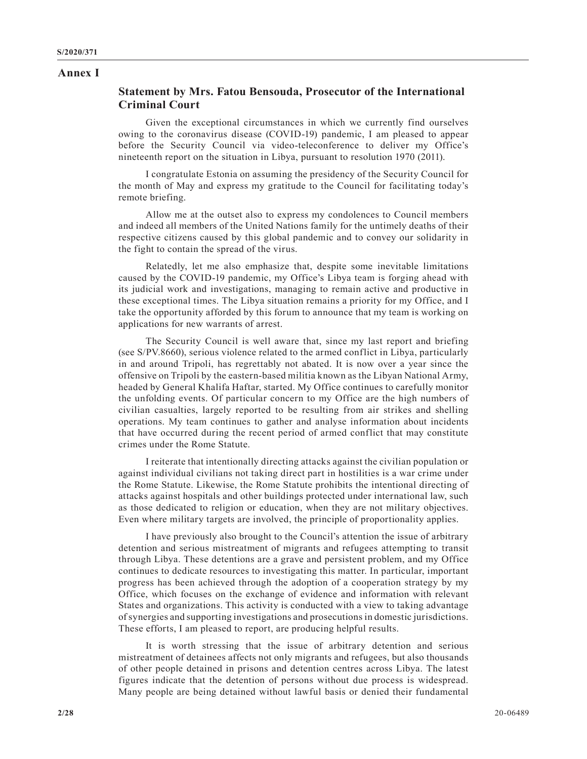#### **Annex I**

#### **Statement by Mrs. Fatou Bensouda, Prosecutor of the International Criminal Court**

Given the exceptional circumstances in which we currently find ourselves owing to the coronavirus disease (COVID-19) pandemic, I am pleased to appear before the Security Council via video-teleconference to deliver my Office's nineteenth report on the situation in Libya, pursuant to resolution 1970 (2011).

I congratulate Estonia on assuming the presidency of the Security Council for the month of May and express my gratitude to the Council for facilitating today's remote briefing.

Allow me at the outset also to express my condolences to Council members and indeed all members of the United Nations family for the untimely deaths of their respective citizens caused by this global pandemic and to convey our solidarity in the fight to contain the spread of the virus.

Relatedly, let me also emphasize that, despite some inevitable limitations caused by the COVID-19 pandemic, my Office's Libya team is forging ahead with its judicial work and investigations, managing to remain active and productive in these exceptional times. The Libya situation remains a priority for my Office, and I take the opportunity afforded by this forum to announce that my team is working on applications for new warrants of arrest.

The Security Council is well aware that, since my last report and briefing (see S/PV.8660), serious violence related to the armed conflict in Libya, particularly in and around Tripoli, has regrettably not abated. It is now over a year since the offensive on Tripoli by the eastern-based militia known as the Libyan National Army, headed by General Khalifa Haftar, started. My Office continues to carefully monitor the unfolding events. Of particular concern to my Office are the high numbers of civilian casualties, largely reported to be resulting from air strikes and shelling operations. My team continues to gather and analyse information about incidents that have occurred during the recent period of armed conflict that may constitute crimes under the Rome Statute.

I reiterate that intentionally directing attacks against the civilian population or against individual civilians not taking direct part in hostilities is a war crime under the Rome Statute. Likewise, the Rome Statute prohibits the intentional directing of attacks against hospitals and other buildings protected under international law, such as those dedicated to religion or education, when they are not military objectives. Even where military targets are involved, the principle of proportionality applies.

I have previously also brought to the Council's attention the issue of arbitrary detention and serious mistreatment of migrants and refugees attempting to transit through Libya. These detentions are a grave and persistent problem, and my Office continues to dedicate resources to investigating this matter. In particular, important progress has been achieved through the adoption of a cooperation strategy by my Office, which focuses on the exchange of evidence and information with relevant States and organizations. This activity is conducted with a view to taking advantage of synergies and supporting investigations and prosecutions in domestic jurisdictions. These efforts, I am pleased to report, are producing helpful results.

It is worth stressing that the issue of arbitrary detention and serious mistreatment of detainees affects not only migrants and refugees, but also thousands of other people detained in prisons and detention centres across Libya. The latest figures indicate that the detention of persons without due process is widespread. Many people are being detained without lawful basis or denied their fundamental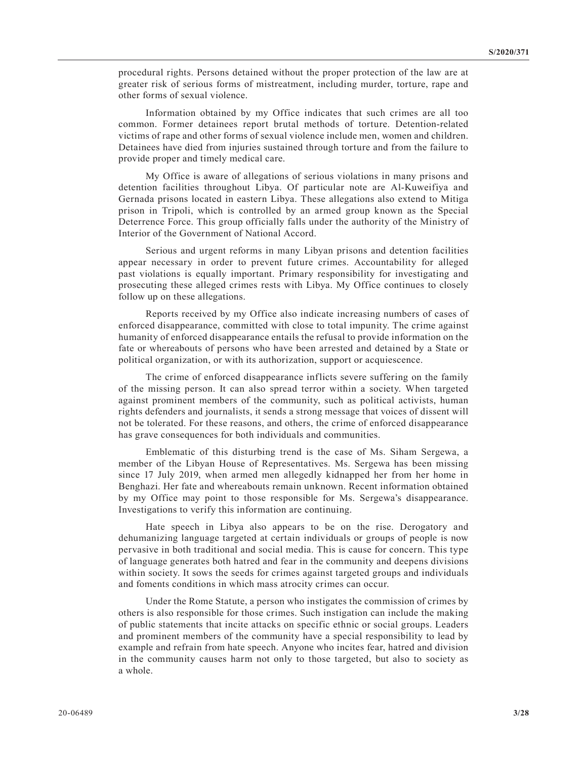procedural rights. Persons detained without the proper protection of the law are at greater risk of serious forms of mistreatment, including murder, torture, rape and other forms of sexual violence.

Information obtained by my Office indicates that such crimes are all too common. Former detainees report brutal methods of torture. Detention-related victims of rape and other forms of sexual violence include men, women and children. Detainees have died from injuries sustained through torture and from the failure to provide proper and timely medical care.

My Office is aware of allegations of serious violations in many prisons and detention facilities throughout Libya. Of particular note are Al-Kuweifiya and Gernada prisons located in eastern Libya. These allegations also extend to Mitiga prison in Tripoli, which is controlled by an armed group known as the Special Deterrence Force. This group officially falls under the authority of the Ministry of Interior of the Government of National Accord.

Serious and urgent reforms in many Libyan prisons and detention facilities appear necessary in order to prevent future crimes. Accountability for alleged past violations is equally important. Primary responsibility for investigating and prosecuting these alleged crimes rests with Libya. My Office continues to closely follow up on these allegations.

Reports received by my Office also indicate increasing numbers of cases of enforced disappearance, committed with close to total impunity. The crime against humanity of enforced disappearance entails the refusal to provide information on the fate or whereabouts of persons who have been arrested and detained by a State or political organization, or with its authorization, support or acquiescence.

The crime of enforced disappearance inflicts severe suffering on the family of the missing person. It can also spread terror within a society. When targeted against prominent members of the community, such as political activists, human rights defenders and journalists, it sends a strong message that voices of dissent will not be tolerated. For these reasons, and others, the crime of enforced disappearance has grave consequences for both individuals and communities.

Emblematic of this disturbing trend is the case of Ms. Siham Sergewa, a member of the Libyan House of Representatives. Ms. Sergewa has been missing since 17 July 2019, when armed men allegedly kidnapped her from her home in Benghazi. Her fate and whereabouts remain unknown. Recent information obtained by my Office may point to those responsible for Ms. Sergewa's disappearance. Investigations to verify this information are continuing.

Hate speech in Libya also appears to be on the rise. Derogatory and dehumanizing language targeted at certain individuals or groups of people is now pervasive in both traditional and social media. This is cause for concern. This type of language generates both hatred and fear in the community and deepens divisions within society. It sows the seeds for crimes against targeted groups and individuals and foments conditions in which mass atrocity crimes can occur.

Under the Rome Statute, a person who instigates the commission of crimes by others is also responsible for those crimes. Such instigation can include the making of public statements that incite attacks on specific ethnic or social groups. Leaders and prominent members of the community have a special responsibility to lead by example and refrain from hate speech. Anyone who incites fear, hatred and division in the community causes harm not only to those targeted, but also to society as a whole.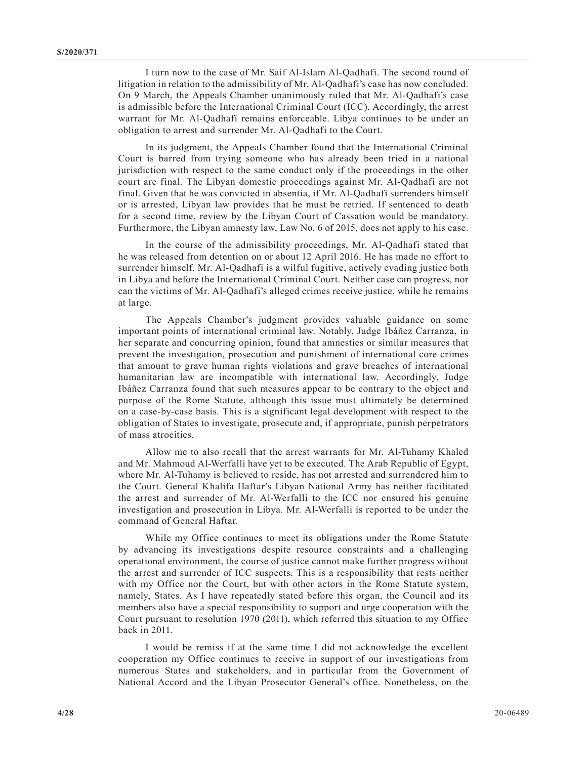I turn now to the case of Mr. Saif Al-Islam Al-Qadhafi. The second round of litigation in relation to the admissibility of Mr. Al-Qadhafi's case has now concluded. On 9 March, the Appeals Chamber unanimously ruled that Mr. Al-Qadhafi's case is admissible before the International Criminal Court (ICC). Accordingly, the arrest warrant for Mr. Al-Qadhafi remains enforceable. Libya continues to be under an obligation to arrest and surrender Mr. Al-Qadhafi to the Court.

In its judgment, the Appeals Chamber found that the International Criminal Court is barred from trying someone who has already been tried in a national jurisdiction with respect to the same conduct only if the proceedings in the other court are final. The Libyan domestic proceedings against Mr. Al-Qadhafi are not final. Given that he was convicted in absentia, if Mr. Al-Qadhafi surrenders himself or is arrested, Libyan law provides that he must be retried. If sentenced to death for a second time, review by the Libyan Court of Cassation would be mandatory. Furthermore, the Libyan amnesty law, Law No. 6 of 2015, does not apply to his case.

In the course of the admissibility proceedings, Mr. Al-Qadhafi stated that he was released from detention on or about 12 April 2016. He has made no effort to surrender himself. Mr. Al-Qadhafi is a wilful fugitive, actively evading justice both in Libya and before the International Criminal Court. Neither case can progress, nor can the victims of Mr. Al-Qadhafi's alleged crimes receive justice, while he remains at large.

The Appeals Chamber's judgment provides valuable guidance on some important points of international criminal law. Notably, Judge Ibáñez Carranza, in her separate and concurring opinion, found that amnesties or similar measures that prevent the investigation, prosecution and punishment of international core crimes that amount to grave human rights violations and grave breaches of international humanitarian law are incompatible with international law. Accordingly, Judge Ibáñez Carranza found that such measures appear to be contrary to the object and purpose of the Rome Statute, although this issue must ultimately be determined on a case-by-case basis. This is a significant legal development with respect to the obligation of States to investigate, prosecute and, if appropriate, punish perpetrators of mass atrocities.

Allow me to also recall that the arrest warrants for Mr. Al-Tuhamy Khaled and Mr. Mahmoud Al-Werfalli have yet to be executed. The Arab Republic of Egypt, where Mr. Al-Tuhamy is believed to reside, has not arrested and surrendered him to the Court. General Khalifa Haftar's Libyan National Army has neither facilitated the arrest and surrender of Mr. Al-Werfalli to the ICC nor ensured his genuine investigation and prosecution in Libya. Mr. Al-Werfalli is reported to be under the command of General Haftar.

While my Office continues to meet its obligations under the Rome Statute by advancing its investigations despite resource constraints and a challenging operational environment, the course of justice cannot make further progress without the arrest and surrender of ICC suspects. This is a responsibility that rests neither with my Office nor the Court, but with other actors in the Rome Statute system, namely, States. As I have repeatedly stated before this organ, the Council and its members also have a special responsibility to support and urge cooperation with the Court pursuant to resolution 1970 (2011), which referred this situation to my Office back in 2011.

I would be remiss if at the same time I did not acknowledge the excellent cooperation my Office continues to receive in support of our investigations from numerous States and stakeholders, and in particular from the Government of National Accord and the Libyan Prosecutor General's office. Nonetheless, on the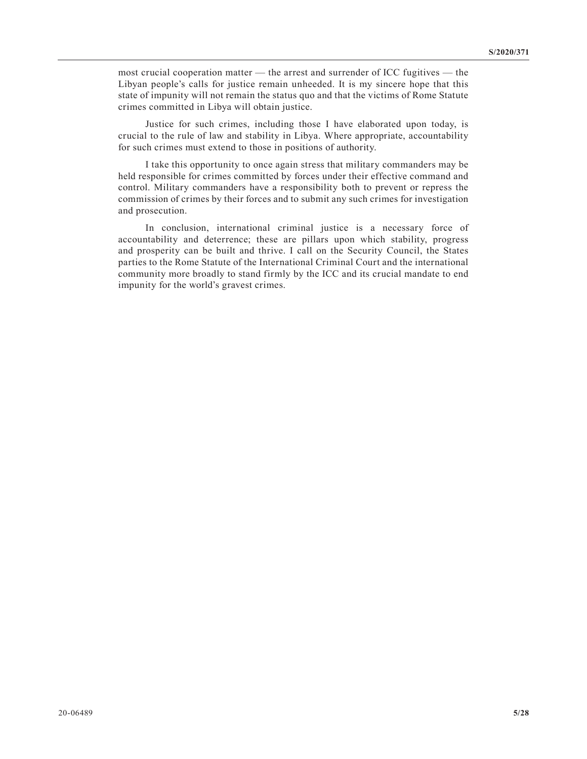most crucial cooperation matter — the arrest and surrender of ICC fugitives — the Libyan people's calls for justice remain unheeded. It is my sincere hope that this state of impunity will not remain the status quo and that the victims of Rome Statute crimes committed in Libya will obtain justice.

Justice for such crimes, including those I have elaborated upon today, is crucial to the rule of law and stability in Libya. Where appropriate, accountability for such crimes must extend to those in positions of authority.

I take this opportunity to once again stress that military commanders may be held responsible for crimes committed by forces under their effective command and control. Military commanders have a responsibility both to prevent or repress the commission of crimes by their forces and to submit any such crimes for investigation and prosecution.

In conclusion, international criminal justice is a necessary force of accountability and deterrence; these are pillars upon which stability, progress and prosperity can be built and thrive. I call on the Security Council, the States parties to the Rome Statute of the International Criminal Court and the international community more broadly to stand firmly by the ICC and its crucial mandate to end impunity for the world's gravest crimes.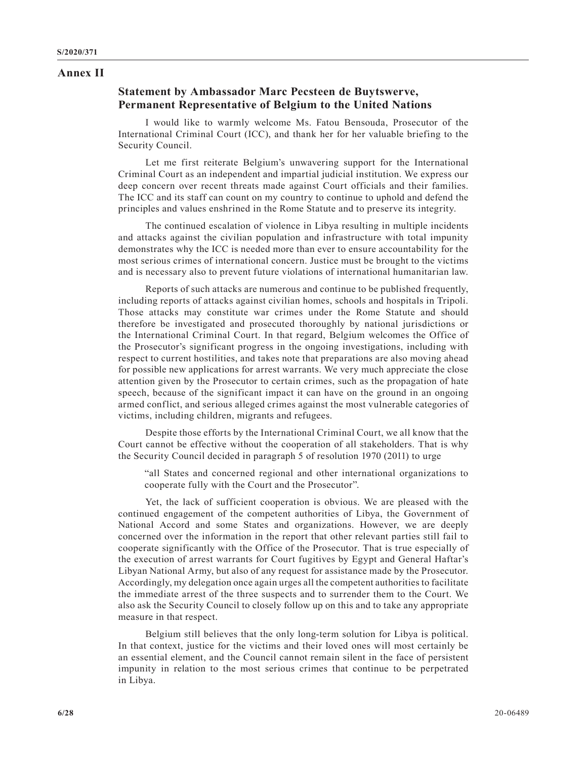#### **Annex II**

#### **Statement by Ambassador Marc Pecsteen de Buytswerve, Permanent Representative of Belgium to the United Nations**

I would like to warmly welcome Ms. Fatou Bensouda, Prosecutor of the International Criminal Court (ICC), and thank her for her valuable briefing to the Security Council.

Let me first reiterate Belgium's unwavering support for the International Criminal Court as an independent and impartial judicial institution. We express our deep concern over recent threats made against Court officials and their families. The ICC and its staff can count on my country to continue to uphold and defend the principles and values enshrined in the Rome Statute and to preserve its integrity.

The continued escalation of violence in Libya resulting in multiple incidents and attacks against the civilian population and infrastructure with total impunity demonstrates why the ICC is needed more than ever to ensure accountability for the most serious crimes of international concern. Justice must be brought to the victims and is necessary also to prevent future violations of international humanitarian law.

Reports of such attacks are numerous and continue to be published frequently, including reports of attacks against civilian homes, schools and hospitals in Tripoli. Those attacks may constitute war crimes under the Rome Statute and should therefore be investigated and prosecuted thoroughly by national jurisdictions or the International Criminal Court. In that regard, Belgium welcomes the Office of the Prosecutor's significant progress in the ongoing investigations, including with respect to current hostilities, and takes note that preparations are also moving ahead for possible new applications for arrest warrants. We very much appreciate the close attention given by the Prosecutor to certain crimes, such as the propagation of hate speech, because of the significant impact it can have on the ground in an ongoing armed conflict, and serious alleged crimes against the most vulnerable categories of victims, including children, migrants and refugees.

Despite those efforts by the International Criminal Court, we all know that the Court cannot be effective without the cooperation of all stakeholders. That is why the Security Council decided in paragraph 5 of resolution 1970 (2011) to urge

"all States and concerned regional and other international organizations to cooperate fully with the Court and the Prosecutor".

Yet, the lack of sufficient cooperation is obvious. We are pleased with the continued engagement of the competent authorities of Libya, the Government of National Accord and some States and organizations. However, we are deeply concerned over the information in the report that other relevant parties still fail to cooperate significantly with the Office of the Prosecutor. That is true especially of the execution of arrest warrants for Court fugitives by Egypt and General Haftar's Libyan National Army, but also of any request for assistance made by the Prosecutor. Accordingly, my delegation once again urges all the competent authorities to facilitate the immediate arrest of the three suspects and to surrender them to the Court. We also ask the Security Council to closely follow up on this and to take any appropriate measure in that respect.

Belgium still believes that the only long-term solution for Libya is political. In that context, justice for the victims and their loved ones will most certainly be an essential element, and the Council cannot remain silent in the face of persistent impunity in relation to the most serious crimes that continue to be perpetrated in Libya.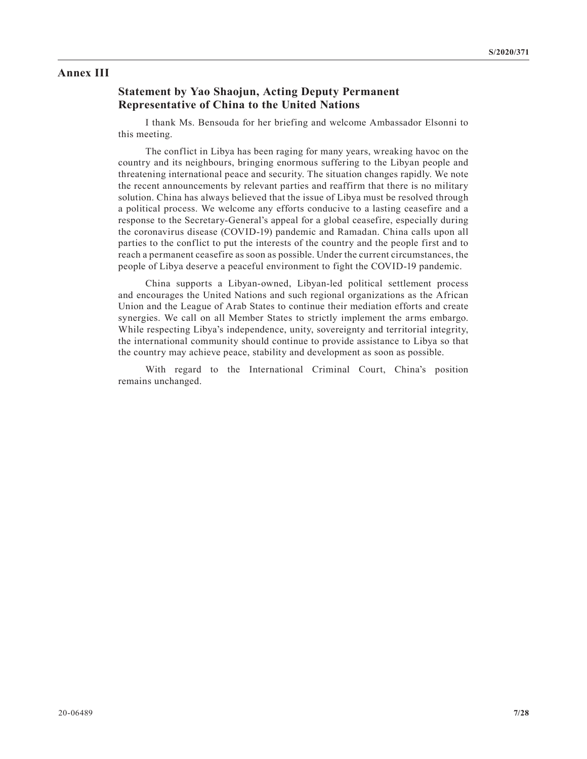#### **Annex III**

# **Statement by Yao Shaojun, Acting Deputy Permanent Representative of China to the United Nations**

I thank Ms. Bensouda for her briefing and welcome Ambassador Elsonni to this meeting.

The conflict in Libya has been raging for many years, wreaking havoc on the country and its neighbours, bringing enormous suffering to the Libyan people and threatening international peace and security. The situation changes rapidly. We note the recent announcements by relevant parties and reaffirm that there is no military solution. China has always believed that the issue of Libya must be resolved through a political process. We welcome any efforts conducive to a lasting ceasefire and a response to the Secretary-General's appeal for a global ceasefire, especially during the coronavirus disease (COVID-19) pandemic and Ramadan. China calls upon all parties to the conflict to put the interests of the country and the people first and to reach a permanent ceasefire as soon as possible. Under the current circumstances, the people of Libya deserve a peaceful environment to fight the COVID-19 pandemic.

China supports a Libyan-owned, Libyan-led political settlement process and encourages the United Nations and such regional organizations as the African Union and the League of Arab States to continue their mediation efforts and create synergies. We call on all Member States to strictly implement the arms embargo. While respecting Libya's independence, unity, sovereignty and territorial integrity, the international community should continue to provide assistance to Libya so that the country may achieve peace, stability and development as soon as possible.

With regard to the International Criminal Court, China's position remains unchanged.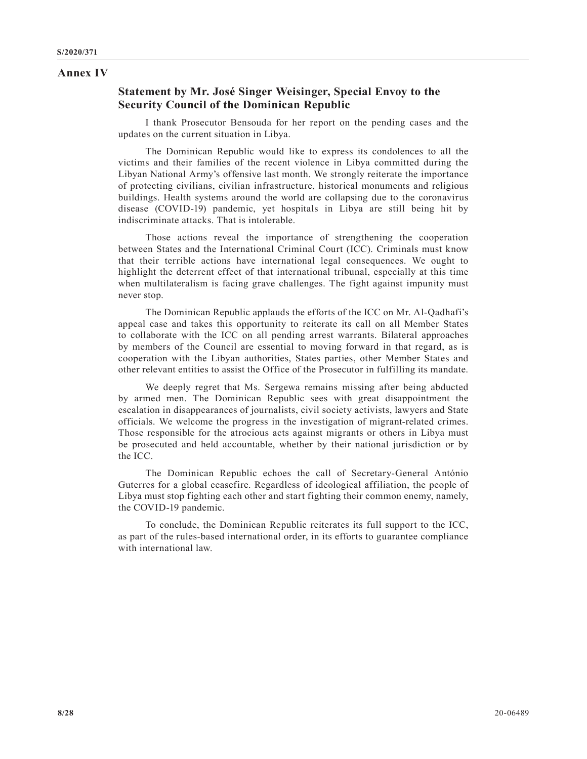#### **Annex IV**

# **Statement by Mr. José Singer Weisinger, Special Envoy to the Security Council of the Dominican Republic**

I thank Prosecutor Bensouda for her report on the pending cases and the updates on the current situation in Libya.

The Dominican Republic would like to express its condolences to all the victims and their families of the recent violence in Libya committed during the Libyan National Army's offensive last month. We strongly reiterate the importance of protecting civilians, civilian infrastructure, historical monuments and religious buildings. Health systems around the world are collapsing due to the coronavirus disease (COVID-19) pandemic, yet hospitals in Libya are still being hit by indiscriminate attacks. That is intolerable.

Those actions reveal the importance of strengthening the cooperation between States and the International Criminal Court (ICC). Criminals must know that their terrible actions have international legal consequences. We ought to highlight the deterrent effect of that international tribunal, especially at this time when multilateralism is facing grave challenges. The fight against impunity must never stop.

The Dominican Republic applauds the efforts of the ICC on Mr. Al-Qadhafi's appeal case and takes this opportunity to reiterate its call on all Member States to collaborate with the ICC on all pending arrest warrants. Bilateral approaches by members of the Council are essential to moving forward in that regard, as is cooperation with the Libyan authorities, States parties, other Member States and other relevant entities to assist the Office of the Prosecutor in fulfilling its mandate.

We deeply regret that Ms. Sergewa remains missing after being abducted by armed men. The Dominican Republic sees with great disappointment the escalation in disappearances of journalists, civil society activists, lawyers and State officials. We welcome the progress in the investigation of migrant-related crimes. Those responsible for the atrocious acts against migrants or others in Libya must be prosecuted and held accountable, whether by their national jurisdiction or by the ICC.

The Dominican Republic echoes the call of Secretary-General António Guterres for a global ceasefire. Regardless of ideological affiliation, the people of Libya must stop fighting each other and start fighting their common enemy, namely, the COVID-19 pandemic.

To conclude, the Dominican Republic reiterates its full support to the ICC, as part of the rules-based international order, in its efforts to guarantee compliance with international law.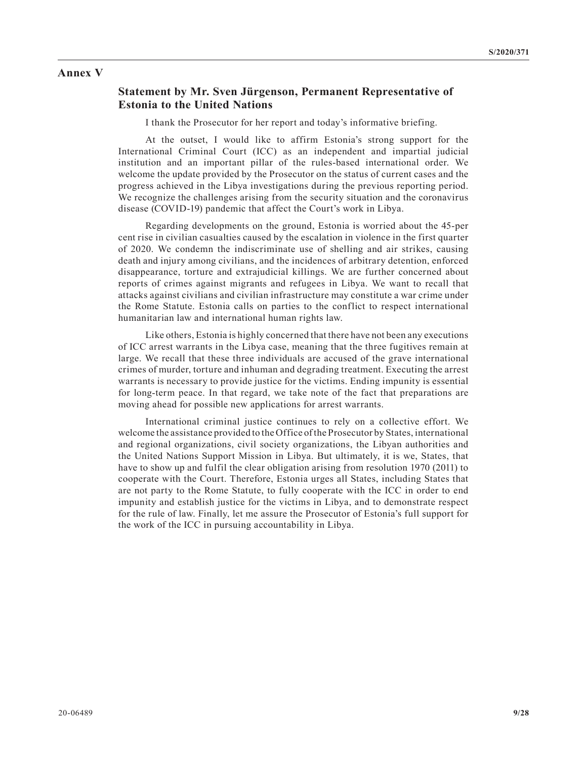#### **Annex V**

#### **Statement by Mr. Sven Jürgenson, Permanent Representative of Estonia to the United Nations**

I thank the Prosecutor for her report and today's informative briefing.

At the outset, I would like to affirm Estonia's strong support for the International Criminal Court (ICC) as an independent and impartial judicial institution and an important pillar of the rules-based international order. We welcome the update provided by the Prosecutor on the status of current cases and the progress achieved in the Libya investigations during the previous reporting period. We recognize the challenges arising from the security situation and the coronavirus disease (COVID-19) pandemic that affect the Court's work in Libya.

Regarding developments on the ground, Estonia is worried about the 45-per cent rise in civilian casualties caused by the escalation in violence in the first quarter of 2020. We condemn the indiscriminate use of shelling and air strikes, causing death and injury among civilians, and the incidences of arbitrary detention, enforced disappearance, torture and extrajudicial killings. We are further concerned about reports of crimes against migrants and refugees in Libya. We want to recall that attacks against civilians and civilian infrastructure may constitute a war crime under the Rome Statute. Estonia calls on parties to the conflict to respect international humanitarian law and international human rights law.

Like others, Estonia is highly concerned that there have not been any executions of ICC arrest warrants in the Libya case, meaning that the three fugitives remain at large. We recall that these three individuals are accused of the grave international crimes of murder, torture and inhuman and degrading treatment. Executing the arrest warrants is necessary to provide justice for the victims. Ending impunity is essential for long-term peace. In that regard, we take note of the fact that preparations are moving ahead for possible new applications for arrest warrants.

International criminal justice continues to rely on a collective effort. We welcome the assistance provided to the Office of the Prosecutor by States, international and regional organizations, civil society organizations, the Libyan authorities and the United Nations Support Mission in Libya. But ultimately, it is we, States, that have to show up and fulfil the clear obligation arising from resolution 1970 (2011) to cooperate with the Court. Therefore, Estonia urges all States, including States that are not party to the Rome Statute, to fully cooperate with the ICC in order to end impunity and establish justice for the victims in Libya, and to demonstrate respect for the rule of law. Finally, let me assure the Prosecutor of Estonia's full support for the work of the ICC in pursuing accountability in Libya.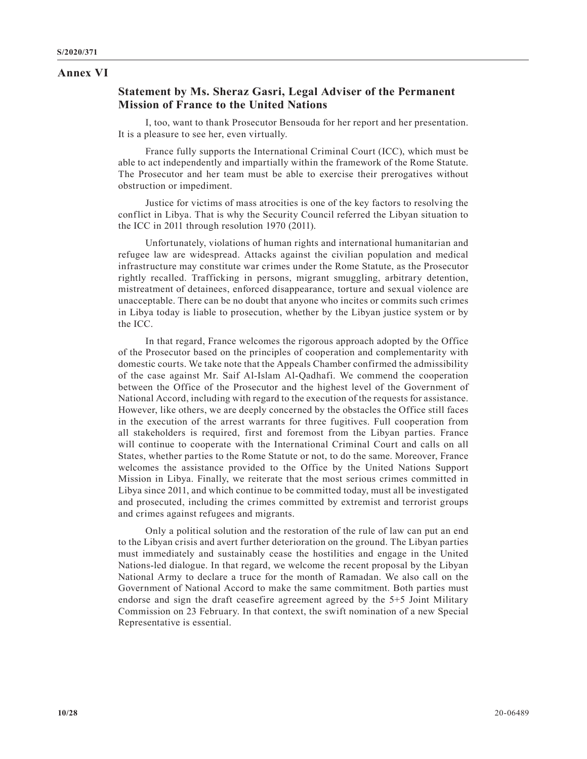#### **Annex VI**

# **Statement by Ms. Sheraz Gasri, Legal Adviser of the Permanent Mission of France to the United Nations**

I, too, want to thank Prosecutor Bensouda for her report and her presentation. It is a pleasure to see her, even virtually.

France fully supports the International Criminal Court (ICC), which must be able to act independently and impartially within the framework of the Rome Statute. The Prosecutor and her team must be able to exercise their prerogatives without obstruction or impediment.

Justice for victims of mass atrocities is one of the key factors to resolving the conflict in Libya. That is why the Security Council referred the Libyan situation to the ICC in 2011 through resolution 1970 (2011).

Unfortunately, violations of human rights and international humanitarian and refugee law are widespread. Attacks against the civilian population and medical infrastructure may constitute war crimes under the Rome Statute, as the Prosecutor rightly recalled. Trafficking in persons, migrant smuggling, arbitrary detention, mistreatment of detainees, enforced disappearance, torture and sexual violence are unacceptable. There can be no doubt that anyone who incites or commits such crimes in Libya today is liable to prosecution, whether by the Libyan justice system or by the ICC.

In that regard, France welcomes the rigorous approach adopted by the Office of the Prosecutor based on the principles of cooperation and complementarity with domestic courts. We take note that the Appeals Chamber confirmed the admissibility of the case against Mr. Saif Al-Islam Al-Qadhafi. We commend the cooperation between the Office of the Prosecutor and the highest level of the Government of National Accord, including with regard to the execution of the requests for assistance. However, like others, we are deeply concerned by the obstacles the Office still faces in the execution of the arrest warrants for three fugitives. Full cooperation from all stakeholders is required, first and foremost from the Libyan parties. France will continue to cooperate with the International Criminal Court and calls on all States, whether parties to the Rome Statute or not, to do the same. Moreover, France welcomes the assistance provided to the Office by the United Nations Support Mission in Libya. Finally, we reiterate that the most serious crimes committed in Libya since 2011, and which continue to be committed today, must all be investigated and prosecuted, including the crimes committed by extremist and terrorist groups and crimes against refugees and migrants.

Only a political solution and the restoration of the rule of law can put an end to the Libyan crisis and avert further deterioration on the ground. The Libyan parties must immediately and sustainably cease the hostilities and engage in the United Nations-led dialogue. In that regard, we welcome the recent proposal by the Libyan National Army to declare a truce for the month of Ramadan. We also call on the Government of National Accord to make the same commitment. Both parties must endorse and sign the draft ceasefire agreement agreed by the 5+5 Joint Military Commission on 23 February. In that context, the swift nomination of a new Special Representative is essential.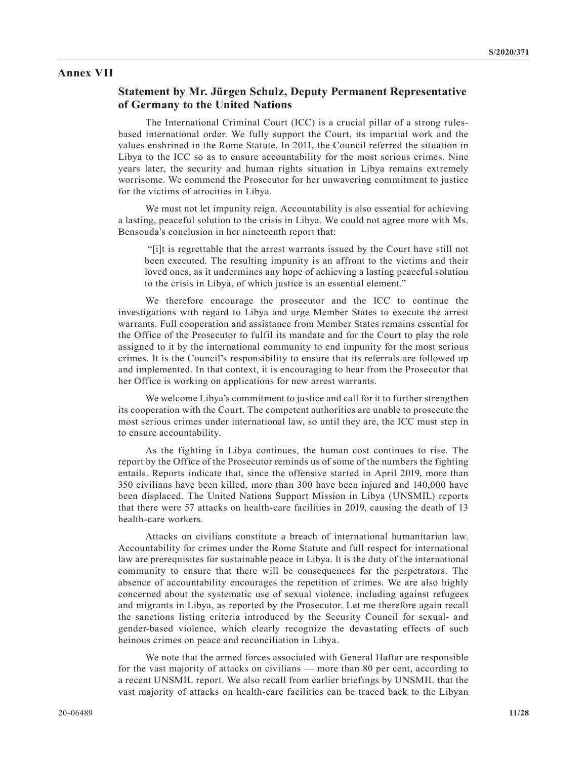#### **Annex VII**

### **Statement by Mr. Jürgen Schulz, Deputy Permanent Representative of Germany to the United Nations**

The International Criminal Court (ICC) is a crucial pillar of a strong rulesbased international order. We fully support the Court, its impartial work and the values enshrined in the Rome Statute. In 2011, the Council referred the situation in Libya to the ICC so as to ensure accountability for the most serious crimes. Nine years later, the security and human rights situation in Libya remains extremely worrisome. We commend the Prosecutor for her unwavering commitment to justice for the victims of atrocities in Libya.

We must not let impunity reign. Accountability is also essential for achieving a lasting, peaceful solution to the crisis in Libya. We could not agree more with Ms. Bensouda's conclusion in her nineteenth report that:

 "[i]t is regrettable that the arrest warrants issued by the Court have still not been executed. The resulting impunity is an affront to the victims and their loved ones, as it undermines any hope of achieving a lasting peaceful solution to the crisis in Libya, of which justice is an essential element."

We therefore encourage the prosecutor and the ICC to continue the investigations with regard to Libya and urge Member States to execute the arrest warrants. Full cooperation and assistance from Member States remains essential for the Office of the Prosecutor to fulfil its mandate and for the Court to play the role assigned to it by the international community to end impunity for the most serious crimes. It is the Council's responsibility to ensure that its referrals are followed up and implemented. In that context, it is encouraging to hear from the Prosecutor that her Office is working on applications for new arrest warrants.

We welcome Libya's commitment to justice and call for it to further strengthen its cooperation with the Court. The competent authorities are unable to prosecute the most serious crimes under international law, so until they are, the ICC must step in to ensure accountability.

As the fighting in Libya continues, the human cost continues to rise. The report by the Office of the Prosecutor reminds us of some of the numbers the fighting entails. Reports indicate that, since the offensive started in April 2019, more than 350 civilians have been killed, more than 300 have been injured and 140,000 have been displaced. The United Nations Support Mission in Libya (UNSMIL) reports that there were 57 attacks on health-care facilities in 2019, causing the death of 13 health-care workers.

Attacks on civilians constitute a breach of international humanitarian law. Accountability for crimes under the Rome Statute and full respect for international law are prerequisites for sustainable peace in Libya. It is the duty of the international community to ensure that there will be consequences for the perpetrators. The absence of accountability encourages the repetition of crimes. We are also highly concerned about the systematic use of sexual violence, including against refugees and migrants in Libya, as reported by the Prosecutor. Let me therefore again recall the sanctions listing criteria introduced by the Security Council for sexual- and gender-based violence, which clearly recognize the devastating effects of such heinous crimes on peace and reconciliation in Libya.

We note that the armed forces associated with General Haftar are responsible for the vast majority of attacks on civilians — more than 80 per cent, according to a recent UNSMIL report. We also recall from earlier briefings by UNSMIL that the vast majority of attacks on health-care facilities can be traced back to the Libyan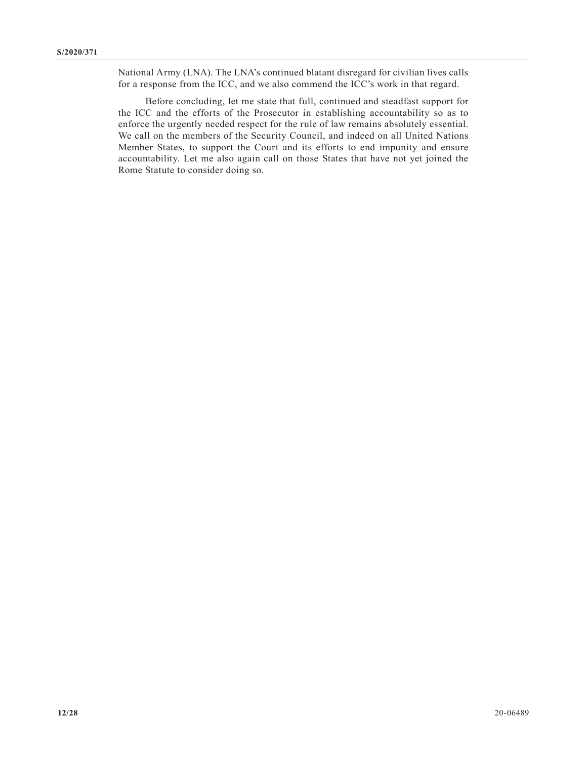National Army (LNA). The LNA's continued blatant disregard for civilian lives calls for a response from the ICC, and we also commend the ICC's work in that regard.

Before concluding, let me state that full, continued and steadfast support for the ICC and the efforts of the Prosecutor in establishing accountability so as to enforce the urgently needed respect for the rule of law remains absolutely essential. We call on the members of the Security Council, and indeed on all United Nations Member States, to support the Court and its efforts to end impunity and ensure accountability. Let me also again call on those States that have not yet joined the Rome Statute to consider doing so.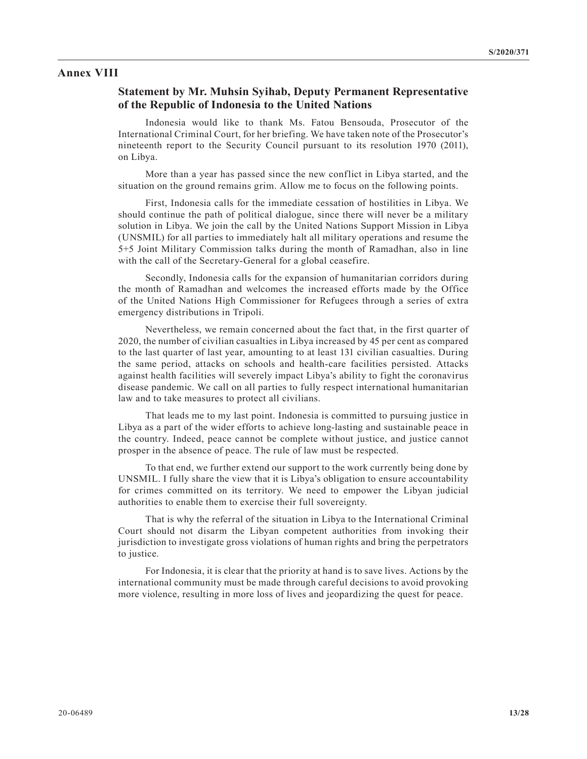#### **Annex VIII**

#### **Statement by Mr. Muhsin Syihab, Deputy Permanent Representative of the Republic of Indonesia to the United Nations**

Indonesia would like to thank Ms. Fatou Bensouda, Prosecutor of the International Criminal Court, for her briefing. We have taken note of the Prosecutor's nineteenth report to the Security Council pursuant to its resolution 1970 (2011), on Libya.

More than a year has passed since the new conflict in Libya started, and the situation on the ground remains grim. Allow me to focus on the following points.

First, Indonesia calls for the immediate cessation of hostilities in Libya. We should continue the path of political dialogue, since there will never be a military solution in Libya. We join the call by the United Nations Support Mission in Libya (UNSMIL) for all parties to immediately halt all military operations and resume the 5+5 Joint Military Commission talks during the month of Ramadhan, also in line with the call of the Secretary-General for a global ceasefire.

Secondly, Indonesia calls for the expansion of humanitarian corridors during the month of Ramadhan and welcomes the increased efforts made by the Office of the United Nations High Commissioner for Refugees through a series of extra emergency distributions in Tripoli.

Nevertheless, we remain concerned about the fact that, in the first quarter of 2020, the number of civilian casualties in Libya increased by 45 per cent as compared to the last quarter of last year, amounting to at least 131 civilian casualties. During the same period, attacks on schools and health-care facilities persisted. Attacks against health facilities will severely impact Libya's ability to fight the coronavirus disease pandemic. We call on all parties to fully respect international humanitarian law and to take measures to protect all civilians.

That leads me to my last point. Indonesia is committed to pursuing justice in Libya as a part of the wider efforts to achieve long-lasting and sustainable peace in the country. Indeed, peace cannot be complete without justice, and justice cannot prosper in the absence of peace. The rule of law must be respected.

To that end, we further extend our support to the work currently being done by UNSMIL. I fully share the view that it is Libya's obligation to ensure accountability for crimes committed on its territory. We need to empower the Libyan judicial authorities to enable them to exercise their full sovereignty.

That is why the referral of the situation in Libya to the International Criminal Court should not disarm the Libyan competent authorities from invoking their jurisdiction to investigate gross violations of human rights and bring the perpetrators to justice.

For Indonesia, it is clear that the priority at hand is to save lives. Actions by the international community must be made through careful decisions to avoid provoking more violence, resulting in more loss of lives and jeopardizing the quest for peace.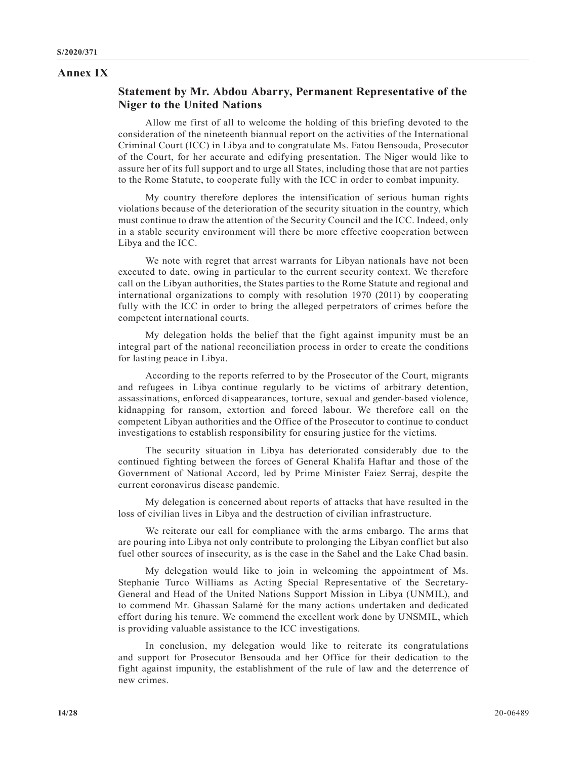### **Annex IX**

# **Statement by Mr. Abdou Abarry, Permanent Representative of the Niger to the United Nations**

Allow me first of all to welcome the holding of this briefing devoted to the consideration of the nineteenth biannual report on the activities of the International Criminal Court (ICC) in Libya and to congratulate Ms. Fatou Bensouda, Prosecutor of the Court, for her accurate and edifying presentation. The Niger would like to assure her of its full support and to urge all States, including those that are not parties to the Rome Statute, to cooperate fully with the ICC in order to combat impunity.

My country therefore deplores the intensification of serious human rights violations because of the deterioration of the security situation in the country, which must continue to draw the attention of the Security Council and the ICC. Indeed, only in a stable security environment will there be more effective cooperation between Libya and the ICC.

We note with regret that arrest warrants for Libyan nationals have not been executed to date, owing in particular to the current security context. We therefore call on the Libyan authorities, the States parties to the Rome Statute and regional and international organizations to comply with resolution 1970 (2011) by cooperating fully with the ICC in order to bring the alleged perpetrators of crimes before the competent international courts.

My delegation holds the belief that the fight against impunity must be an integral part of the national reconciliation process in order to create the conditions for lasting peace in Libya.

According to the reports referred to by the Prosecutor of the Court, migrants and refugees in Libya continue regularly to be victims of arbitrary detention, assassinations, enforced disappearances, torture, sexual and gender-based violence, kidnapping for ransom, extortion and forced labour. We therefore call on the competent Libyan authorities and the Office of the Prosecutor to continue to conduct investigations to establish responsibility for ensuring justice for the victims.

The security situation in Libya has deteriorated considerably due to the continued fighting between the forces of General Khalifa Haftar and those of the Government of National Accord, led by Prime Minister Faiez Serraj, despite the current coronavirus disease pandemic.

My delegation is concerned about reports of attacks that have resulted in the loss of civilian lives in Libya and the destruction of civilian infrastructure.

We reiterate our call for compliance with the arms embargo. The arms that are pouring into Libya not only contribute to prolonging the Libyan conflict but also fuel other sources of insecurity, as is the case in the Sahel and the Lake Chad basin.

My delegation would like to join in welcoming the appointment of Ms. Stephanie Turco Williams as Acting Special Representative of the Secretary-General and Head of the United Nations Support Mission in Libya (UNMIL), and to commend Mr. Ghassan Salamé for the many actions undertaken and dedicated effort during his tenure. We commend the excellent work done by UNSMIL, which is providing valuable assistance to the ICC investigations.

In conclusion, my delegation would like to reiterate its congratulations and support for Prosecutor Bensouda and her Office for their dedication to the fight against impunity, the establishment of the rule of law and the deterrence of new crimes.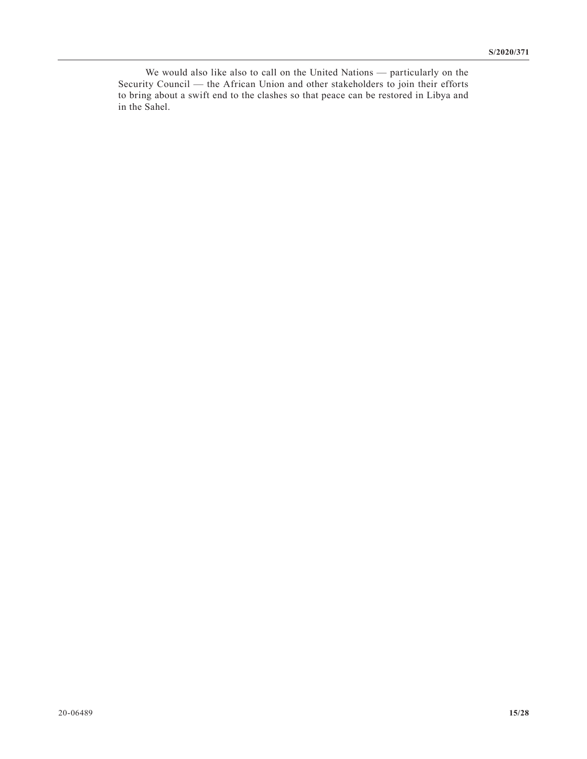We would also like also to call on the United Nations — particularly on the Security Council — the African Union and other stakeholders to join their efforts to bring about a swift end to the clashes so that peace can be restored in Libya and in the Sahel.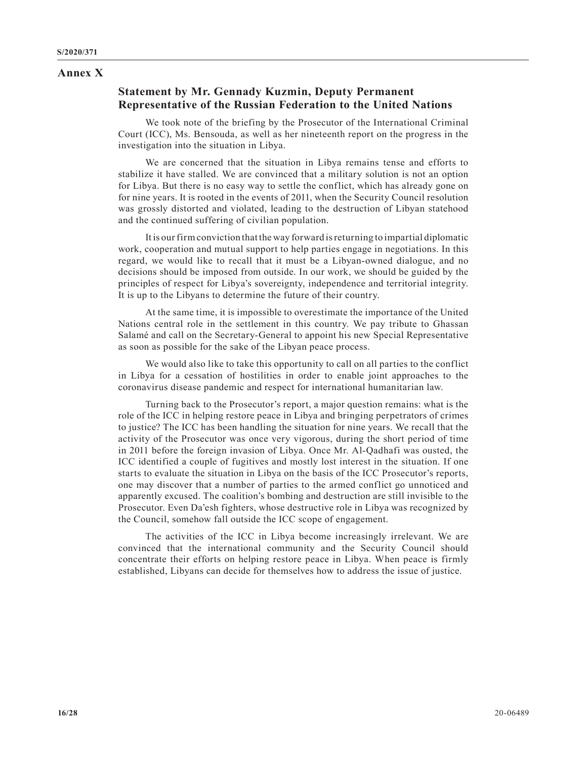#### **Annex X**

## **Statement by Mr. Gennady Kuzmin, Deputy Permanent Representative of the Russian Federation to the United Nations**

We took note of the briefing by the Prosecutor of the International Criminal Court (ICC), Ms. Bensouda, as well as her nineteenth report on the progress in the investigation into the situation in Libya.

We are concerned that the situation in Libya remains tense and efforts to stabilize it have stalled. We are convinced that a military solution is not an option for Libya. But there is no easy way to settle the conflict, which has already gone on for nine years. It is rooted in the events of 2011, when the Security Council resolution was grossly distorted and violated, leading to the destruction of Libyan statehood and the continued suffering of civilian population.

It is our firm conviction that the way forward is returning to impartial diplomatic work, cooperation and mutual support to help parties engage in negotiations. In this regard, we would like to recall that it must be a Libyan-owned dialogue, and no decisions should be imposed from outside. In our work, we should be guided by the principles of respect for Libya's sovereignty, independence and territorial integrity. It is up to the Libyans to determine the future of their country.

At the same time, it is impossible to overestimate the importance of the United Nations central role in the settlement in this country. We pay tribute to Ghassan Salamé and call on the Secretary-General to appoint his new Special Representative as soon as possible for the sake of the Libyan peace process.

We would also like to take this opportunity to call on all parties to the conflict in Libya for a cessation of hostilities in order to enable joint approaches to the coronavirus disease pandemic and respect for international humanitarian law.

Turning back to the Prosecutor's report, a major question remains: what is the role of the ICC in helping restore peace in Libya and bringing perpetrators of crimes to justice? The ICC has been handling the situation for nine years. We recall that the activity of the Prosecutor was once very vigorous, during the short period of time in 2011 before the foreign invasion of Libya. Once Mr. Al-Qadhafi was ousted, the ICC identified a couple of fugitives and mostly lost interest in the situation. If one starts to evaluate the situation in Libya on the basis of the ICC Prosecutor's reports, one may discover that a number of parties to the armed conflict go unnoticed and apparently excused. The coalition's bombing and destruction are still invisible to the Prosecutor. Even Da'esh fighters, whose destructive role in Libya was recognized by the Council, somehow fall outside the ICC scope of engagement.

The activities of the ICC in Libya become increasingly irrelevant. We are convinced that the international community and the Security Council should concentrate their efforts on helping restore peace in Libya. When peace is firmly established, Libyans can decide for themselves how to address the issue of justice.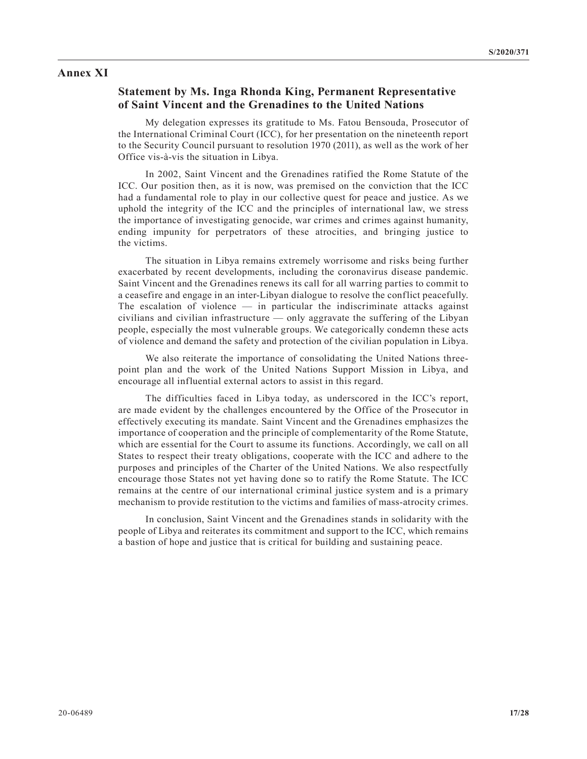#### **Annex XI**

### **Statement by Ms. Inga Rhonda King, Permanent Representative of Saint Vincent and the Grenadines to the United Nations**

My delegation expresses its gratitude to Ms. Fatou Bensouda, Prosecutor of the International Criminal Court (ICC), for her presentation on the nineteenth report to the Security Council pursuant to resolution 1970 (2011), as well as the work of her Office vis-à-vis the situation in Libya.

In 2002, Saint Vincent and the Grenadines ratified the Rome Statute of the ICC. Our position then, as it is now, was premised on the conviction that the ICC had a fundamental role to play in our collective quest for peace and justice. As we uphold the integrity of the ICC and the principles of international law, we stress the importance of investigating genocide, war crimes and crimes against humanity, ending impunity for perpetrators of these atrocities, and bringing justice to the victims.

The situation in Libya remains extremely worrisome and risks being further exacerbated by recent developments, including the coronavirus disease pandemic. Saint Vincent and the Grenadines renews its call for all warring parties to commit to a ceasefire and engage in an inter-Libyan dialogue to resolve the conflict peacefully. The escalation of violence  $\frac{1}{\sqrt{1-\frac{1}{\sqrt{1-\epsilon}}}}$  in particular the indiscriminate attacks against civilians and civilian infrastructure — only aggravate the suffering of the Libyan people, especially the most vulnerable groups. We categorically condemn these acts of violence and demand the safety and protection of the civilian population in Libya.

We also reiterate the importance of consolidating the United Nations threepoint plan and the work of the United Nations Support Mission in Libya, and encourage all influential external actors to assist in this regard.

The difficulties faced in Libya today, as underscored in the ICC's report, are made evident by the challenges encountered by the Office of the Prosecutor in effectively executing its mandate. Saint Vincent and the Grenadines emphasizes the importance of cooperation and the principle of complementarity of the Rome Statute, which are essential for the Court to assume its functions. Accordingly, we call on all States to respect their treaty obligations, cooperate with the ICC and adhere to the purposes and principles of the Charter of the United Nations. We also respectfully encourage those States not yet having done so to ratify the Rome Statute. The ICC remains at the centre of our international criminal justice system and is a primary mechanism to provide restitution to the victims and families of mass-atrocity crimes.

In conclusion, Saint Vincent and the Grenadines stands in solidarity with the people of Libya and reiterates its commitment and support to the ICC, which remains a bastion of hope and justice that is critical for building and sustaining peace.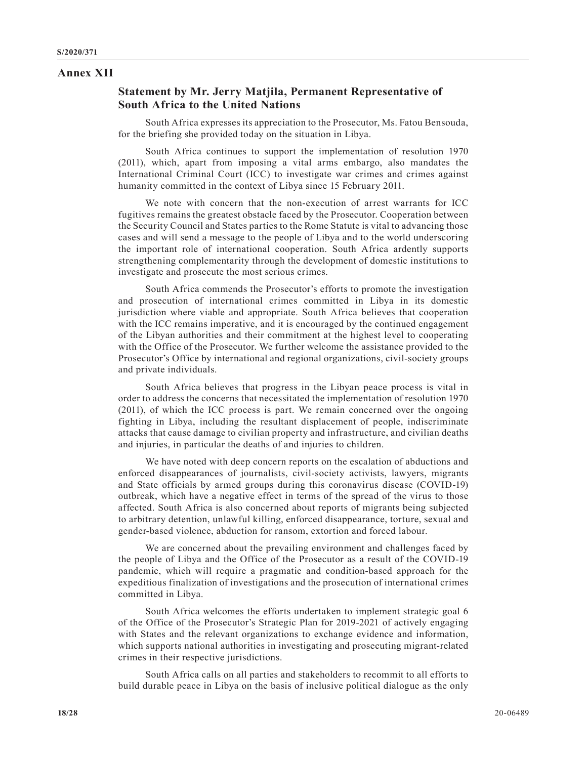#### **Annex XII**

# **Statement by Mr. Jerry Matjila, Permanent Representative of South Africa to the United Nations**

South Africa expresses its appreciation to the Prosecutor, Ms. Fatou Bensouda, for the briefing she provided today on the situation in Libya.

South Africa continues to support the implementation of resolution 1970 (2011), which, apart from imposing a vital arms embargo, also mandates the International Criminal Court (ICC) to investigate war crimes and crimes against humanity committed in the context of Libya since 15 February 2011.

We note with concern that the non-execution of arrest warrants for ICC fugitives remains the greatest obstacle faced by the Prosecutor. Cooperation between the Security Council and States parties to the Rome Statute is vital to advancing those cases and will send a message to the people of Libya and to the world underscoring the important role of international cooperation. South Africa ardently supports strengthening complementarity through the development of domestic institutions to investigate and prosecute the most serious crimes.

South Africa commends the Prosecutor's efforts to promote the investigation and prosecution of international crimes committed in Libya in its domestic jurisdiction where viable and appropriate. South Africa believes that cooperation with the ICC remains imperative, and it is encouraged by the continued engagement of the Libyan authorities and their commitment at the highest level to cooperating with the Office of the Prosecutor. We further welcome the assistance provided to the Prosecutor's Office by international and regional organizations, civil-society groups and private individuals.

South Africa believes that progress in the Libyan peace process is vital in order to address the concerns that necessitated the implementation of resolution 1970 (2011), of which the ICC process is part. We remain concerned over the ongoing fighting in Libya, including the resultant displacement of people, indiscriminate attacks that cause damage to civilian property and infrastructure, and civilian deaths and injuries, in particular the deaths of and injuries to children.

We have noted with deep concern reports on the escalation of abductions and enforced disappearances of journalists, civil-society activists, lawyers, migrants and State officials by armed groups during this coronavirus disease (COVID-19) outbreak, which have a negative effect in terms of the spread of the virus to those affected. South Africa is also concerned about reports of migrants being subjected to arbitrary detention, unlawful killing, enforced disappearance, torture, sexual and gender-based violence, abduction for ransom, extortion and forced labour.

We are concerned about the prevailing environment and challenges faced by the people of Libya and the Office of the Prosecutor as a result of the COVID-19 pandemic, which will require a pragmatic and condition-based approach for the expeditious finalization of investigations and the prosecution of international crimes committed in Libya.

South Africa welcomes the efforts undertaken to implement strategic goal 6 of the Office of the Prosecutor's Strategic Plan for 2019-2021 of actively engaging with States and the relevant organizations to exchange evidence and information, which supports national authorities in investigating and prosecuting migrant-related crimes in their respective jurisdictions.

South Africa calls on all parties and stakeholders to recommit to all efforts to build durable peace in Libya on the basis of inclusive political dialogue as the only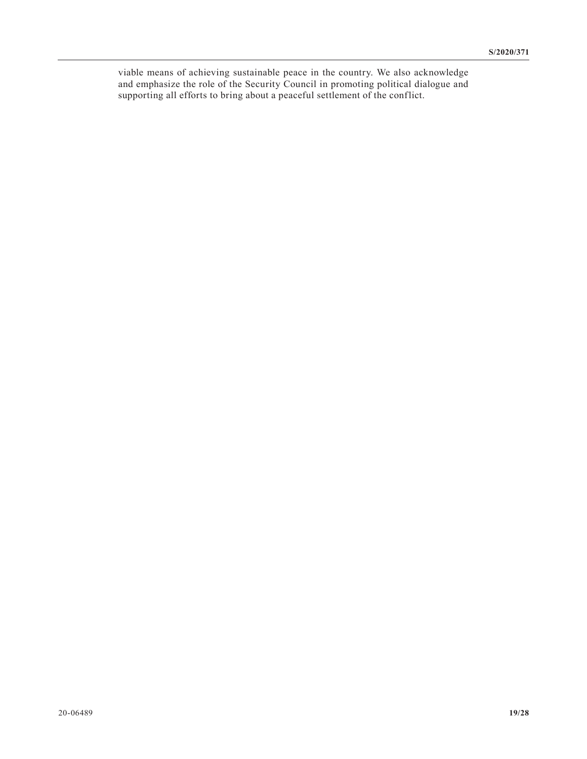viable means of achieving sustainable peace in the country. We also acknowledge and emphasize the role of the Security Council in promoting political dialogue and supporting all efforts to bring about a peaceful settlement of the conflict.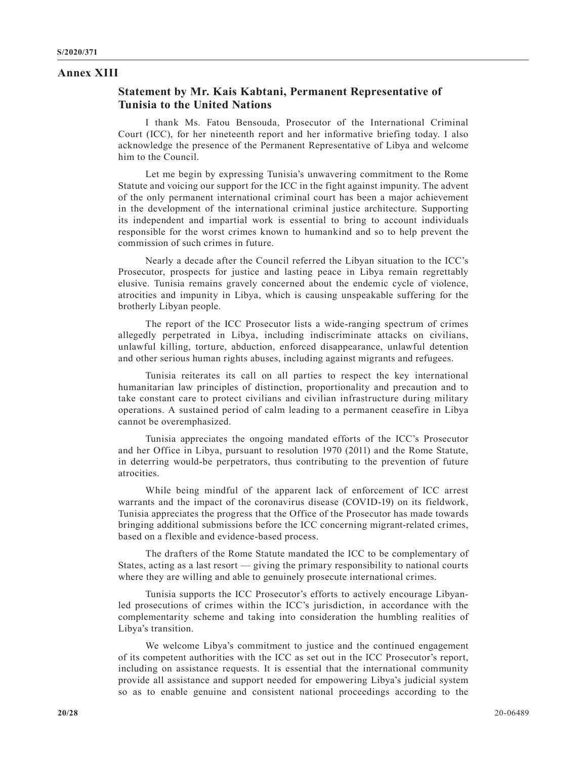#### **Annex XIII**

### **Statement by Mr. Kais Kabtani, Permanent Representative of Tunisia to the United Nations**

I thank Ms. Fatou Bensouda, Prosecutor of the International Criminal Court (ICC), for her nineteenth report and her informative briefing today. I also acknowledge the presence of the Permanent Representative of Libya and welcome him to the Council.

Let me begin by expressing Tunisia's unwavering commitment to the Rome Statute and voicing our support for the ICC in the fight against impunity. The advent of the only permanent international criminal court has been a major achievement in the development of the international criminal justice architecture. Supporting its independent and impartial work is essential to bring to account individuals responsible for the worst crimes known to humankind and so to help prevent the commission of such crimes in future.

Nearly a decade after the Council referred the Libyan situation to the ICC's Prosecutor, prospects for justice and lasting peace in Libya remain regrettably elusive. Tunisia remains gravely concerned about the endemic cycle of violence, atrocities and impunity in Libya, which is causing unspeakable suffering for the brotherly Libyan people.

The report of the ICC Prosecutor lists a wide-ranging spectrum of crimes allegedly perpetrated in Libya, including indiscriminate attacks on civilians, unlawful killing, torture, abduction, enforced disappearance, unlawful detention and other serious human rights abuses, including against migrants and refugees.

Tunisia reiterates its call on all parties to respect the key international humanitarian law principles of distinction, proportionality and precaution and to take constant care to protect civilians and civilian infrastructure during military operations. A sustained period of calm leading to a permanent ceasefire in Libya cannot be overemphasized.

Tunisia appreciates the ongoing mandated efforts of the ICC's Prosecutor and her Office in Libya, pursuant to resolution 1970 (2011) and the Rome Statute, in deterring would-be perpetrators, thus contributing to the prevention of future atrocities.

While being mindful of the apparent lack of enforcement of ICC arrest warrants and the impact of the coronavirus disease (COVID-19) on its fieldwork, Tunisia appreciates the progress that the Office of the Prosecutor has made towards bringing additional submissions before the ICC concerning migrant-related crimes, based on a flexible and evidence-based process.

The drafters of the Rome Statute mandated the ICC to be complementary of States, acting as a last resort — giving the primary responsibility to national courts where they are willing and able to genuinely prosecute international crimes.

Tunisia supports the ICC Prosecutor's efforts to actively encourage Libyanled prosecutions of crimes within the ICC's jurisdiction, in accordance with the complementarity scheme and taking into consideration the humbling realities of Libya's transition.

We welcome Libya's commitment to justice and the continued engagement of its competent authorities with the ICC as set out in the ICC Prosecutor's report, including on assistance requests. It is essential that the international community provide all assistance and support needed for empowering Libya's judicial system so as to enable genuine and consistent national proceedings according to the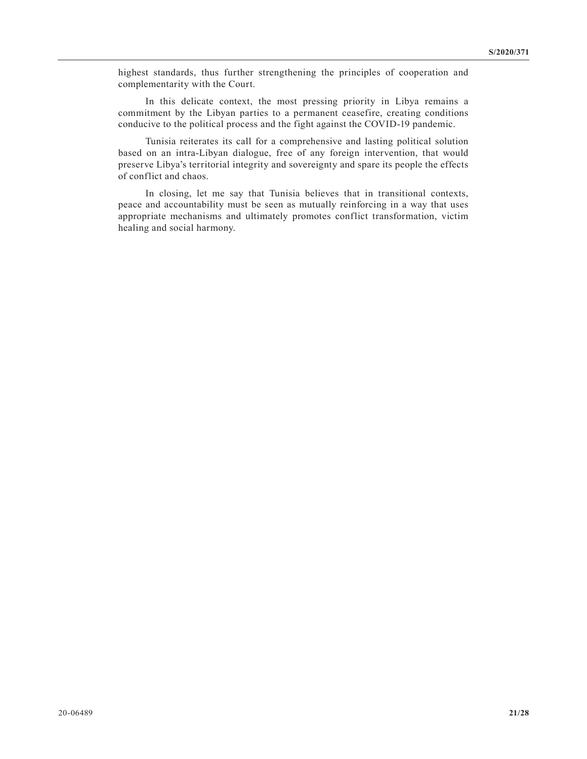highest standards, thus further strengthening the principles of cooperation and complementarity with the Court.

In this delicate context, the most pressing priority in Libya remains a commitment by the Libyan parties to a permanent ceasefire, creating conditions conducive to the political process and the fight against the COVID-19 pandemic.

Tunisia reiterates its call for a comprehensive and lasting political solution based on an intra-Libyan dialogue, free of any foreign intervention, that would preserve Libya's territorial integrity and sovereignty and spare its people the effects of conflict and chaos.

In closing, let me say that Tunisia believes that in transitional contexts, peace and accountability must be seen as mutually reinforcing in a way that uses appropriate mechanisms and ultimately promotes conflict transformation, victim healing and social harmony.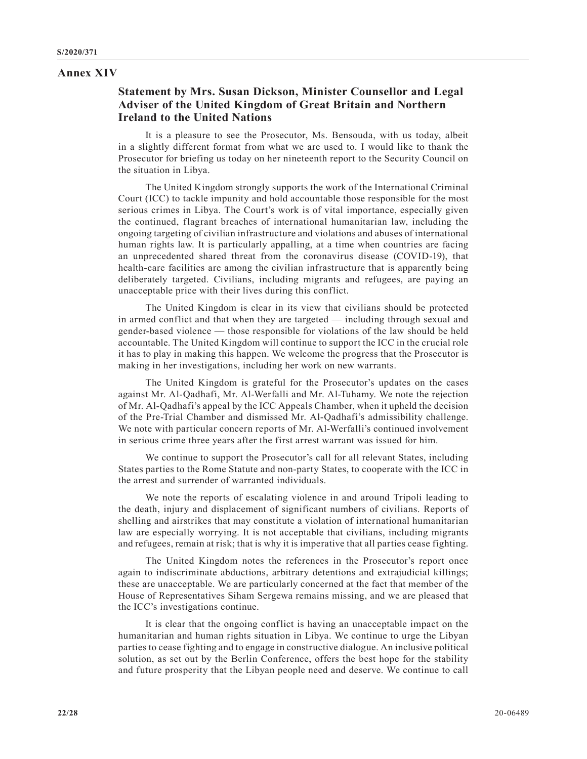#### **Annex XIV**

# **Statement by Mrs. Susan Dickson, Minister Counsellor and Legal Adviser of the United Kingdom of Great Britain and Northern Ireland to the United Nations**

It is a pleasure to see the Prosecutor, Ms. Bensouda, with us today, albeit in a slightly different format from what we are used to. I would like to thank the Prosecutor for briefing us today on her nineteenth report to the Security Council on the situation in Libya.

The United Kingdom strongly supports the work of the International Criminal Court (ICC) to tackle impunity and hold accountable those responsible for the most serious crimes in Libya. The Court's work is of vital importance, especially given the continued, flagrant breaches of international humanitarian law, including the ongoing targeting of civilian infrastructure and violations and abuses of international human rights law. It is particularly appalling, at a time when countries are facing an unprecedented shared threat from the coronavirus disease (COVID-19), that health-care facilities are among the civilian infrastructure that is apparently being deliberately targeted. Civilians, including migrants and refugees, are paying an unacceptable price with their lives during this conflict.

The United Kingdom is clear in its view that civilians should be protected in armed conflict and that when they are targeted — including through sexual and gender-based violence — those responsible for violations of the law should be held accountable. The United Kingdom will continue to support the ICC in the crucial role it has to play in making this happen. We welcome the progress that the Prosecutor is making in her investigations, including her work on new warrants.

The United Kingdom is grateful for the Prosecutor's updates on the cases against Mr. Al-Qadhafi, Mr. Al-Werfalli and Mr. Al-Tuhamy. We note the rejection of Mr. Al-Qadhafi's appeal by the ICC Appeals Chamber, when it upheld the decision of the Pre-Trial Chamber and dismissed Mr. Al-Qadhafi's admissibility challenge. We note with particular concern reports of Mr. Al-Werfalli's continued involvement in serious crime three years after the first arrest warrant was issued for him.

We continue to support the Prosecutor's call for all relevant States, including States parties to the Rome Statute and non-party States, to cooperate with the ICC in the arrest and surrender of warranted individuals.

We note the reports of escalating violence in and around Tripoli leading to the death, injury and displacement of significant numbers of civilians. Reports of shelling and airstrikes that may constitute a violation of international humanitarian law are especially worrying. It is not acceptable that civilians, including migrants and refugees, remain at risk; that is why it is imperative that all parties cease fighting.

The United Kingdom notes the references in the Prosecutor's report once again to indiscriminate abductions, arbitrary detentions and extrajudicial killings; these are unacceptable. We are particularly concerned at the fact that member of the House of Representatives Siham Sergewa remains missing, and we are pleased that the ICC's investigations continue.

It is clear that the ongoing conflict is having an unacceptable impact on the humanitarian and human rights situation in Libya. We continue to urge the Libyan parties to cease fighting and to engage in constructive dialogue. An inclusive political solution, as set out by the Berlin Conference, offers the best hope for the stability and future prosperity that the Libyan people need and deserve. We continue to call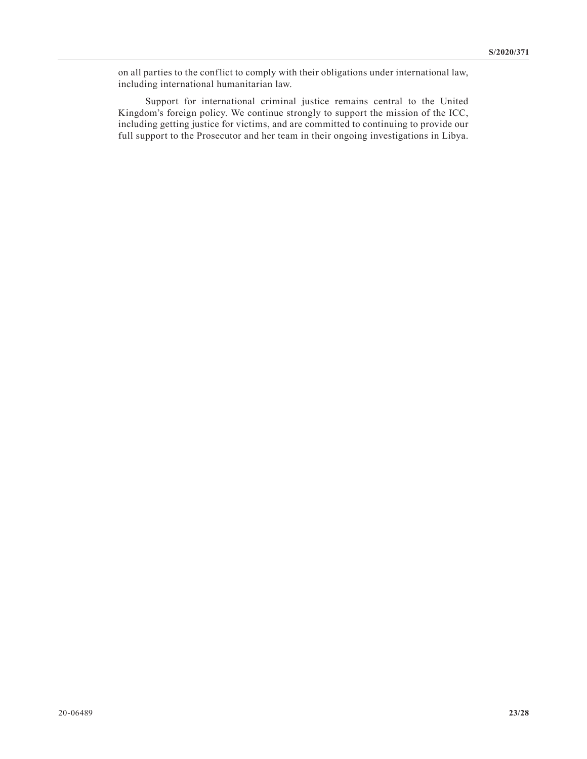on all parties to the conflict to comply with their obligations under international law, including international humanitarian law.

Support for international criminal justice remains central to the United Kingdom's foreign policy. We continue strongly to support the mission of the ICC, including getting justice for victims, and are committed to continuing to provide our full support to the Prosecutor and her team in their ongoing investigations in Libya.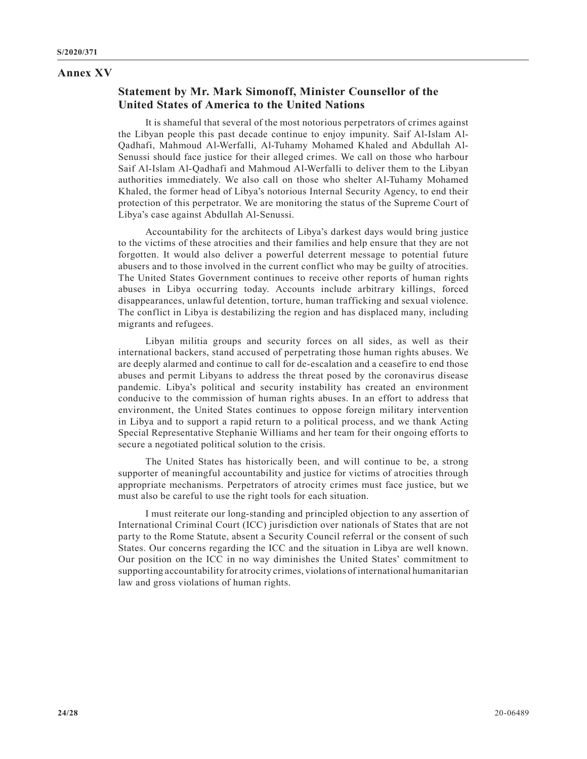#### **Annex XV**

# **Statement by Mr. Mark Simonoff, Minister Counsellor of the United States of America to the United Nations**

It is shameful that several of the most notorious perpetrators of crimes against the Libyan people this past decade continue to enjoy impunity. Saif Al-Islam Al-Qadhafi, Mahmoud Al-Werfalli, Al-Tuhamy Mohamed Khaled and Abdullah Al-Senussi should face justice for their alleged crimes. We call on those who harbour Saif Al-Islam Al-Qadhafi and Mahmoud Al-Werfalli to deliver them to the Libyan authorities immediately. We also call on those who shelter Al-Tuhamy Mohamed Khaled, the former head of Libya's notorious Internal Security Agency, to end their protection of this perpetrator. We are monitoring the status of the Supreme Court of Libya's case against Abdullah Al-Senussi.

Accountability for the architects of Libya's darkest days would bring justice to the victims of these atrocities and their families and help ensure that they are not forgotten. It would also deliver a powerful deterrent message to potential future abusers and to those involved in the current conflict who may be guilty of atrocities. The United States Government continues to receive other reports of human rights abuses in Libya occurring today. Accounts include arbitrary killings, forced disappearances, unlawful detention, torture, human trafficking and sexual violence. The conflict in Libya is destabilizing the region and has displaced many, including migrants and refugees.

Libyan militia groups and security forces on all sides, as well as their international backers, stand accused of perpetrating those human rights abuses. We are deeply alarmed and continue to call for de-escalation and a ceasefire to end those abuses and permit Libyans to address the threat posed by the coronavirus disease pandemic. Libya's political and security instability has created an environment conducive to the commission of human rights abuses. In an effort to address that environment, the United States continues to oppose foreign military intervention in Libya and to support a rapid return to a political process, and we thank Acting Special Representative Stephanie Williams and her team for their ongoing efforts to secure a negotiated political solution to the crisis.

The United States has historically been, and will continue to be, a strong supporter of meaningful accountability and justice for victims of atrocities through appropriate mechanisms. Perpetrators of atrocity crimes must face justice, but we must also be careful to use the right tools for each situation.

I must reiterate our long-standing and principled objection to any assertion of International Criminal Court (ICC) jurisdiction over nationals of States that are not party to the Rome Statute, absent a Security Council referral or the consent of such States. Our concerns regarding the ICC and the situation in Libya are well known. Our position on the ICC in no way diminishes the United States' commitment to supporting accountability for atrocity crimes, violations of international humanitarian law and gross violations of human rights.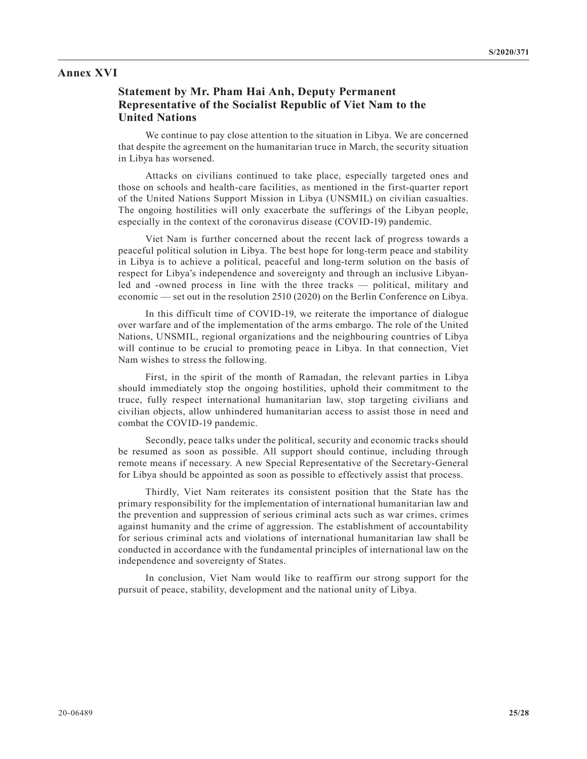#### **Annex XVI**

# **Statement by Mr. Pham Hai Anh, Deputy Permanent Representative of the Socialist Republic of Viet Nam to the United Nations**

We continue to pay close attention to the situation in Libya. We are concerned that despite the agreement on the humanitarian truce in March, the security situation in Libya has worsened.

Attacks on civilians continued to take place, especially targeted ones and those on schools and health-care facilities, as mentioned in the first-quarter report of the United Nations Support Mission in Libya (UNSMIL) on civilian casualties. The ongoing hostilities will only exacerbate the sufferings of the Libyan people, especially in the context of the coronavirus disease (COVID-19) pandemic.

Viet Nam is further concerned about the recent lack of progress towards a peaceful political solution in Libya. The best hope for long-term peace and stability in Libya is to achieve a political, peaceful and long-term solution on the basis of respect for Libya's independence and sovereignty and through an inclusive Libyanled and -owned process in line with the three tracks — political, military and economic — set out in the resolution 2510 (2020) on the Berlin Conference on Libya.

In this difficult time of COVID-19, we reiterate the importance of dialogue over warfare and of the implementation of the arms embargo. The role of the United Nations, UNSMIL, regional organizations and the neighbouring countries of Libya will continue to be crucial to promoting peace in Libya. In that connection, Viet Nam wishes to stress the following.

First, in the spirit of the month of Ramadan, the relevant parties in Libya should immediately stop the ongoing hostilities, uphold their commitment to the truce, fully respect international humanitarian law, stop targeting civilians and civilian objects, allow unhindered humanitarian access to assist those in need and combat the COVID-19 pandemic.

Secondly, peace talks under the political, security and economic tracks should be resumed as soon as possible. All support should continue, including through remote means if necessary. A new Special Representative of the Secretary-General for Libya should be appointed as soon as possible to effectively assist that process.

Thirdly, Viet Nam reiterates its consistent position that the State has the primary responsibility for the implementation of international humanitarian law and the prevention and suppression of serious criminal acts such as war crimes, crimes against humanity and the crime of aggression. The establishment of accountability for serious criminal acts and violations of international humanitarian law shall be conducted in accordance with the fundamental principles of international law on the independence and sovereignty of States.

In conclusion, Viet Nam would like to reaffirm our strong support for the pursuit of peace, stability, development and the national unity of Libya.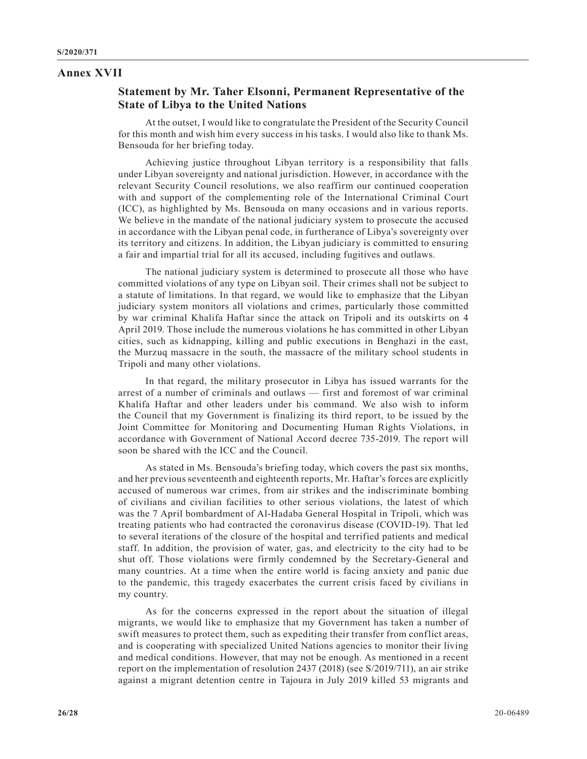#### **Annex XVII**

# **Statement by Mr. Taher Elsonni, Permanent Representative of the State of Libya to the United Nations**

At the outset, I would like to congratulate the President of the Security Council for this month and wish him every success in his tasks. I would also like to thank Ms. Bensouda for her briefing today.

Achieving justice throughout Libyan territory is a responsibility that falls under Libyan sovereignty and national jurisdiction. However, in accordance with the relevant Security Council resolutions, we also reaffirm our continued cooperation with and support of the complementing role of the International Criminal Court (ICC), as highlighted by Ms. Bensouda on many occasions and in various reports. We believe in the mandate of the national judiciary system to prosecute the accused in accordance with the Libyan penal code, in furtherance of Libya's sovereignty over its territory and citizens. In addition, the Libyan judiciary is committed to ensuring a fair and impartial trial for all its accused, including fugitives and outlaws.

The national judiciary system is determined to prosecute all those who have committed violations of any type on Libyan soil. Their crimes shall not be subject to a statute of limitations. In that regard, we would like to emphasize that the Libyan judiciary system monitors all violations and crimes, particularly those committed by war criminal Khalifa Haftar since the attack on Tripoli and its outskirts on 4 April 2019. Those include the numerous violations he has committed in other Libyan cities, such as kidnapping, killing and public executions in Benghazi in the east, the Murzuq massacre in the south, the massacre of the military school students in Tripoli and many other violations.

In that regard, the military prosecutor in Libya has issued warrants for the arrest of a number of criminals and outlaws — first and foremost of war criminal Khalifa Haftar and other leaders under his command. We also wish to inform the Council that my Government is finalizing its third report, to be issued by the Joint Committee for Monitoring and Documenting Human Rights Violations, in accordance with Government of National Accord decree 735-2019. The report will soon be shared with the ICC and the Council.

As stated in Ms. Bensouda's briefing today, which covers the past six months, and her previous seventeenth and eighteenth reports, Mr. Haftar's forces are explicitly accused of numerous war crimes, from air strikes and the indiscriminate bombing of civilians and civilian facilities to other serious violations, the latest of which was the 7 April bombardment of Al-Hadaba General Hospital in Tripoli, which was treating patients who had contracted the coronavirus disease (COVID-19). That led to several iterations of the closure of the hospital and terrified patients and medical staff. In addition, the provision of water, gas, and electricity to the city had to be shut off. Those violations were firmly condemned by the Secretary-General and many countries. At a time when the entire world is facing anxiety and panic due to the pandemic, this tragedy exacerbates the current crisis faced by civilians in my country.

As for the concerns expressed in the report about the situation of illegal migrants, we would like to emphasize that my Government has taken a number of swift measures to protect them, such as expediting their transfer from conflict areas, and is cooperating with specialized United Nations agencies to monitor their living and medical conditions. However, that may not be enough. As mentioned in a recent report on the implementation of resolution 2437 (2018) (see S/2019/711), an air strike against a migrant detention centre in Tajoura in July 2019 killed 53 migrants and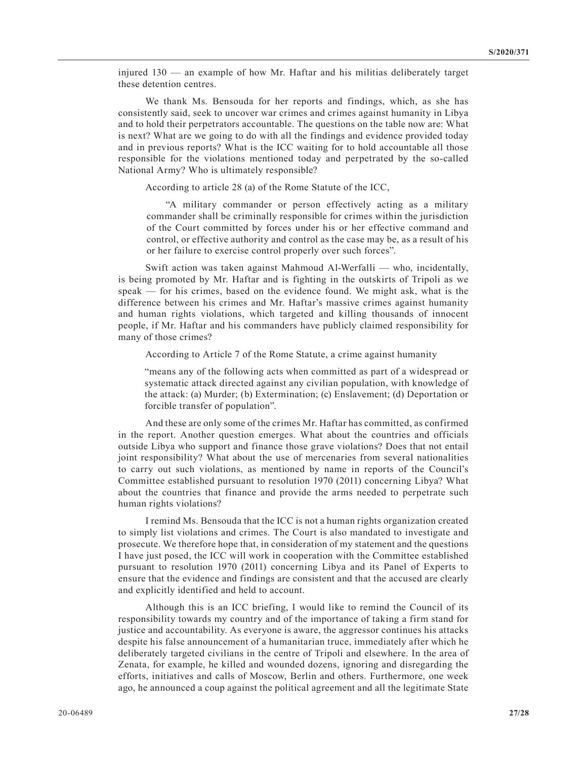injured 130 — an example of how Mr. Haftar and his militias deliberately target these detention centres.

We thank Ms. Bensouda for her reports and findings, which, as she has consistently said, seek to uncover war crimes and crimes against humanity in Libya and to hold their perpetrators accountable. The questions on the table now are: What is next? What are we going to do with all the findings and evidence provided today and in previous reports? What is the ICC waiting for to hold accountable all those responsible for the violations mentioned today and perpetrated by the so-called National Army? Who is ultimately responsible?

According to article 28 (a) of the Rome Statute of the ICC,

"A military commander or person effectively acting as a military commander shall be criminally responsible for crimes within the jurisdiction of the Court committed by forces under his or her effective command and control, or effective authority and control as the case may be, as a result of his or her failure to exercise control properly over such forces".

Swift action was taken against Mahmoud Al-Werfalli — who, incidentally, is being promoted by Mr. Haftar and is fighting in the outskirts of Tripoli as we speak — for his crimes, based on the evidence found. We might ask, what is the difference between his crimes and Mr. Haftar's massive crimes against humanity and human rights violations, which targeted and killing thousands of innocent people, if Mr. Haftar and his commanders have publicly claimed responsibility for many of those crimes?

According to Article 7 of the Rome Statute, a crime against humanity

"means any of the following acts when committed as part of a widespread or systematic attack directed against any civilian population, with knowledge of the attack: (a) Murder; (b) Extermination; (c) Enslavement; (d) Deportation or forcible transfer of population".

And these are only some of the crimes Mr. Haftar has committed, as confirmed in the report. Another question emerges. What about the countries and officials outside Libya who support and finance those grave violations? Does that not entail joint responsibility? What about the use of mercenaries from several nationalities to carry out such violations, as mentioned by name in reports of the Council's Committee established pursuant to resolution 1970 (2011) concerning Libya? What about the countries that finance and provide the arms needed to perpetrate such human rights violations?

I remind Ms. Bensouda that the ICC is not a human rights organization created to simply list violations and crimes. The Court is also mandated to investigate and prosecute. We therefore hope that, in consideration of my statement and the questions I have just posed, the ICC will work in cooperation with the Committee established pursuant to resolution 1970 (2011) concerning Libya and its Panel of Experts to ensure that the evidence and findings are consistent and that the accused are clearly and explicitly identified and held to account.

Although this is an ICC briefing, I would like to remind the Council of its responsibility towards my country and of the importance of taking a firm stand for justice and accountability. As everyone is aware, the aggressor continues his attacks despite his false announcement of a humanitarian truce, immediately after which he deliberately targeted civilians in the centre of Tripoli and elsewhere. In the area of Zenata, for example, he killed and wounded dozens, ignoring and disregarding the efforts, initiatives and calls of Moscow, Berlin and others. Furthermore, one week ago, he announced a coup against the political agreement and all the legitimate State